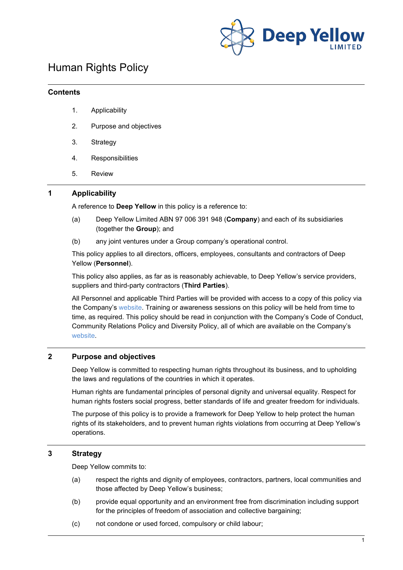

# Human Rights Policy

### **Contents**

- 1. Applicability
- 2. Purpose and objectives
- 3. Strategy
- 4. Responsibilities
- 5. Review

## **1 Applicability**

A reference to **Deep Yellow** in this policy is a reference to:

- (a) Deep Yellow Limited ABN 97 006 391 948 (**Company**) and each of its subsidiaries (together the **Group**); and
- (b) any joint ventures under a Group company's operational control.

This policy applies to all directors, officers, employees, consultants and contractors of Deep Yellow (**Personnel**).

This policy also applies, as far as is reasonably achievable, to Deep Yellow's service providers, suppliers and third-party contractors (**Third Parties**).

All Personnel and applicable Third Parties will be provided with access to a copy of this policy via the Company's [website.](http://www.deepyellow.com.au/index.html) Training or awareness sessions on this policy will be held from time to time, as required. This policy should be read in conjunction with the Company's Code of Conduct, Community Relations Policy and Diversity Policy, all of which are available on the Company's [website.](http://www.deepyellow.com.au/index.html)

## **2 Purpose and objectives**

Deep Yellow is committed to respecting human rights throughout its business, and to upholding the laws and regulations of the countries in which it operates.

Human rights are fundamental principles of personal dignity and universal equality. Respect for human rights fosters social progress, better standards of life and greater freedom for individuals.

The purpose of this policy is to provide a framework for Deep Yellow to help protect the human rights of its stakeholders, and to prevent human rights violations from occurring at Deep Yellow's operations.

#### **3 Strategy**

Deep Yellow commits to:

- (a) respect the rights and dignity of employees, contractors, partners, local communities and those affected by Deep Yellow's business;
- (b) provide equal opportunity and an environment free from discrimination including support for the principles of freedom of association and collective bargaining;
- (c) not condone or used forced, compulsory or child labour;